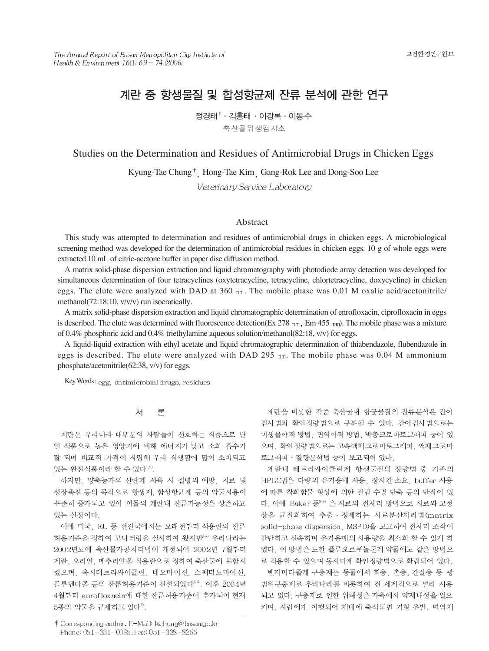# 계란 중 항생물질 및 합성항균제 잔류 분석에 관한 연구

정경태<sup>↑</sup> · 김홍태 · 이강록 · 이동수 축산물위생검사소

# Studies on the Determination and Residues of Antimicrobial Drugs in Chicken Eggs

Kyung-Tae Chung <sup>†</sup> Hong-Tae Kim Gang-Rok Lee and Dong-Soo Lee

Veterinary Service Laboratory

# Abstract

This study was attempted to determination and residues of antimicrobial drugs in chicken eggs. A microbiological screening method was developed for the determination of antimicrobial residues in chicken eggs. 10 g of whole eggs were extracted 10 mL of citric-acetone buffer in paper disc diffusion method.

A matrix solid-phase dispersion extraction and liquid chromatography with photodiode array detection was developed for simultaneous determination of four tetracyclines (oxytetracycline, tetracycline, chlortetracycline, doxycycline) in chicken eggs. The elute were analyzed with DAD at  $360 \text{ nm}$ . The mobile phase was 0.01 M oxalic acid/acetonitrile/ methanol(72:18:10, v/v/v) run isocratically.

A matrix solid-phase dispersion extraction and liquid chromatographic determination of enrofloxacin, ciprofloxacin in eggs is described. The elute was determined with fluorescence detection(Ex 278 nm, Em 455 nm). The mobile phase was a mixture of 0.4% phosphoric acid and 0.4% triethylamine aqueous solution/methanol(82:18, v/v) for eggs.

A liquid-liquid extraction with ethyl acetate and liquid chromatographic determination of thiabendazole, flubendazole in eggs is described. The elute were analyzed with DAD 295  $nm$ . The mobile phase was 0.04 M ammonium phosphate/acetonitrile(62:38, v/v) for eggs.

Key Words: egg, an timicrobial drugs, residues

#### 서 론

계란은 우리나라 대부분의 사람들이 선호하는 식품으로 단 일 식품으로 높은 영양가에 비해 에너지가 낮고 소화 흡수가 잘 되며 비교적 가격이 저렴해 우리 식생활에 많이 소비되고 있는 완전식품이라 할 수 있다<sup>1,2)</sup>.

하지만, 양축농가의 산란계 사육 시 질병의 예방, 치료 및 성장촉진 등의 목적으로 항생제, 합성항균제 등의 약물사용이 꾸준히 증가되고 있어 이들의 계란내 잔류가능성은 상존하고 있는 실정이다.

이에 미국, EU 등 선진국에서는 오래전부터 식용란의 잔류 허용기준을 정하여 모니터링을 실시하여 왔지만<sup>3,4)</sup> 우리나라는 2002년도에 축산물가공처리법이 개정되어 2002년 7월부터 계란, 오리알, 메추리알을 식용란으로 정하여 축산물에 포함시 켰으며, 옥시테트라싸이클린, 네오마이신, 스펙티노마이신, 플루벤다졸 등의 잔류허용기준이 신설되었다5,6, 이후 2004년 4월부터 enroflox acin에 대한 잔류허용기준이 추가되어 현재 5종의 약물을 규제하고 있다".

† Corresponding author. E-Mail: ktchung@busan.go.kr Phone: 051-331-0095, Fax: 051-338-8266

계란을 비롯한 각종 축산물내 항균물질의 잔류분석은 간이 검사법과 확인정량법으로 구분될 수 있다. 간이검사법으로는 미생물학적 방법, 면역학적 방법, 박층크로마토그래피 등이 있 으며, 확인정량법으로는 고속액체크로마토그래피, 액체크로마 토그래피 · 질량분석법 등이 보고되어 있다.

계란내 테트라싸이클린계 항생물질의 정량법 중 기존의 HPLC법은 다량의 유기용매 사용, 장시간 소요, buffer 사용 에 따른 착화합물 형성에 의한 컬럼 수명 단축 등의 단점이 있 다. 이에 Baker 등8,9) 은 시료의 전처리 방법으로 시료와 고정 상을 균질화하여 추출 · 정제하는 시료분산처리법(matrix solid-phase dispersion, MSPD)을 보고하여 전처리 조작이 간단하고 신속하며 유기용매의 사용량을 최소화 할 수 있게 하 였다. 이 방법은 또한 플루오르퀴놀론계 약물에도 같은 방법으 로 적용할 수 있으며 동시다제 확인정량법으로 확립되어 있다.

벤지미다졸계 구충제는 동물에서 회충, 촌충, 간질충 등 광 범위구충제로 우리나라를 비롯하여 전 세계적으로 널리 사용 되고 있다. 구충제로 인한 위해성은 가축에서 약제내성을 일으 키며, 사람에게 이행되어 체내에 축적되면 기형 유발, 면역체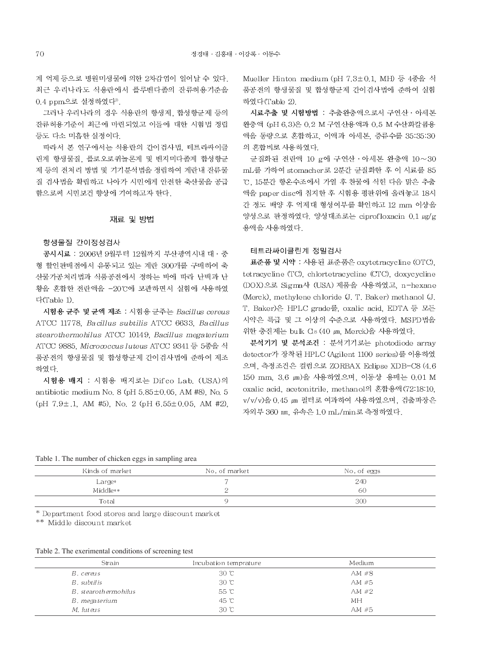계 억제 등으로 병원미생물에 의한 2차감염이 일어날 수 있다. 최근 우리나라도 식용란에서 플루벤다졸의 잔류허용기준을 0.4 ppm으로 설정하였다".

그러나 우리나라의 경우 식용란의 항생제, 합성항균제 등의 잔류허용기준이 최근에 마련되었고 이들에 대한 시험법 정립 등도 다소 미흡한 실정이다.

따라서 본 연구에서는 식용란의 간이검사법, 테트라싸이클 린계 항생물질, 플로오로퀴놀론계 및 벤지미다졸계 합성항균 제 등의 전처리 방법 및 기기분석법을 정립하여 계란내 잔류물 질 검사법을 확립하고 나아가 시민에게 안전한 축산물을 공급 함으로써 시민보건 향상에 기여하고자 한다.

# 재료 및 방법

#### 항생물질 간이정성검사

공시시료 : 2006년 9월부터 12월까지 부산광역시내 대 · 중 형 할인판매점에서 유통되고 있는 계란 300개를 구매하여 축 산물가공처리법과 식품공전에서 정하는 바에 따라 난백과 난 황을 혼합한 전란액을 -20℃에 보관하면서 실험에 사용하였  $\Gamma$ <sub>(Table</sub> 1)

시험용 균주 및 균액 제조 : 시험용 균주는 Bacillus cereus ATCC 11778. Bacillus subtilis ATCC 6633. Bacillus stearothermohilus ATCC 10149, Bacillus megaterium ATCC 9885, Micrococcus luteus ATCC 9341 등 5종을 식 품공전의 항생물질 및 합성항균제 간이검사법에 준하여 제조 하였다.

시험용 배지 : 시험용 배지로는 Difco Lab. (USA)의 antibiotic medium No. 8 (pH  $5.85 \pm 0.05$ , AM #8). No. 5  $(pH 7.9 \pm .1, AM #5)$ , No. 2  $(pH 6.55 \pm 0.05, AM #2)$ , Mueller Hinton medium (pH 7.3±0.1, MH) 등 4종을 식 품공전의 항생물질 및 합성항균제 간이검사법에 준하여 실험 하였다(Table 2).

시료추출 및 시험방법 : 추출완충액으로서 구연산 · 아세톤 완충액 (pH 6.3)은 0.2 M 구연산용액과 0.5 M 수산화칼륨용 액을 동량으로 혼합하고, 이액과 아세톤, 증류수를 35:35:30 의 혼합비로 사용하였다.

균질화된 전란액 10 g에 구연산 · 아세톤 완충액 10~30 mL를 가하여 stomacher로 2분간 균질화한 후 이 시료를 85 ℃. 15분간 항온수조에서 가열 후 찬물에 식힌 다음 맑은 추출 액을 paper disc에 침지한 후 시험용 평판위에 올려놓고 18시 간 정도 배양 후 억제대 형성여부를 확인하고 12 mm 이상을 양성으로 판정하였다. 양성대조로는 ciprofloxacin 0.1 ug/g 용액을 사용하였다.

#### 테트라싸이클린계 정밀검사

표준품 및 시약 : 사용된 표준품은 oxytetracycline (OTC), tetracycline (TC), chlortetracycline (CTC), doxycycline (DOX)으로 Sigma사 (USA) 제품을 사용하였고, n-hexane (Merck), methylene chloride (J. T. Baker) methanol (J. T. Baker)은 HPLC grade를, oxalic acid. EDTA 등 모든 시약은 특급 및 그 이상의 수준으로 사용하였다. MSPD법을 위한 충진제는 bulk Cls (40 μm, Merck)을 사용하였다.

분석기기 및 분석조건 : 분석기기로는 photodiode array detector가 장착된 HPLC (Agilent 1100 series)를 이용하였 으며, 측정조건은 컬럼으로 ZORBAX Eclipse XDB-C8 (4.6 150 mm 3.6 ㎞)을 사용하였으며, 이동상 용매는 0.01 M oxalic acid, acetonitrile, methanol의 혼합용액(72:18:10, v/v/v)을 0.45 ㎞ 필터로 여과하여 사용하였으며, 검출파장은 자외부 360 nm, 유속은 1.0 mL/min로 측정하였다.

#### Table 1. The number of chicken eggs in sampling area

| Kinds of market | No. of market | No. of eggs |
|-----------------|---------------|-------------|
| $Large*$        |               | 240         |
| Middle**        |               | 60          |
| Total           |               | 300         |

\* Department food stores and large discount market

\*\* Middle discount market

### Table 2. The exerimental conditions of screening test

| Strain               | Incubation temprature | Medium  |
|----------------------|-----------------------|---------|
| B. cereus            | 30 °C                 | AM $#8$ |
| B. subtilis          | 30C                   | $AM$ #5 |
| B. stearothermohilus | 55 °C                 | AM $#2$ |
| B, megaterium        | 45 °C                 | MН      |
| M. luteus            | 30C                   | $AM$ #5 |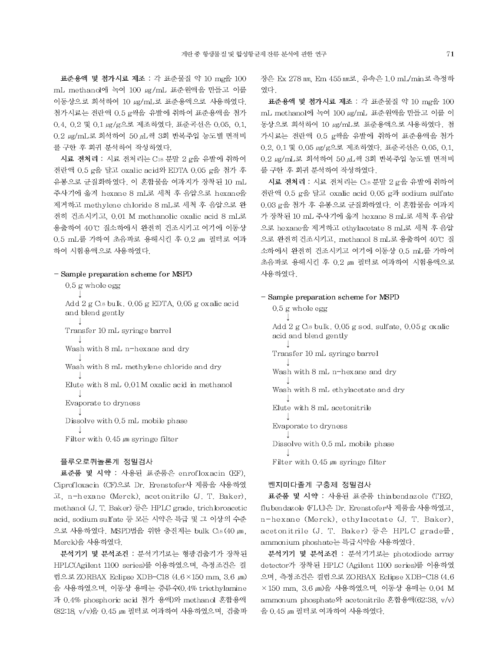표준용액 및 첨가시료 제조 : 각 표준물질 약 10 mg을 100 mL methanol에 녹여 100 µg/mL 표준원액을 만들고 이를 이동상으로 희석하여 10 ug/mL로 표준용액으로 사용하였다. 첨가시료는 전란액 0.5 g씩을 유발에 취하여 표준용액을 첨가 0.4, 0.2 및 0.1 ug/g으로 제조하였다. 표준곡선은 0.05, 0.1, 0.2 µg/mL로 희석하여 50 µL씩 3회 반복주입 농도별 면적비 를 구한 후 회귀 분석하여 작성하였다.

시료 전처리 : 시료 전처리는 C18 분말 2 g을 유발에 취하여 전란액 0.5 g을 달고 oxalic acid와 EDTA 0.05 g을 첨가 후 유봉으로 균질화하였다. 이 혼합물을 여과지가 장착된 10 mL 주사기에 옮겨 hexane 8 mL로 세척 후 음압으로 hexane을 제거하고 methylene chloride 8 mL로 세척 후 음압으로 완 전히 건조시키고, 0.01 M methanolic oxalic acid 8 mL로 용출하여 40℃ 질소하에서 완전히 건조시키고 여기에 이동상 0.5 mL를 가하여 초음파로 용해시킨 후 0.2 μm 필터로 여과 하여 시험용액으로 사용하였다.

### - Sample preparation scheme for MSPD

 $0.5$  g whole egg

Add 2 g C18 bulk. 0.05 g EDTA, 0.05 g oxalic acid and blend gently

Transfer 10 mL syringe barrel

Wash with 8 mL n-hexane and dry

Wash with 8 mL methylene chloride and dry

Elute with 8 mL 0.01 M oxalic acid in methanol

Evaporate to dryness

Dissolve with 0.5 mL mobile phase

Filter with  $0.45 \mu m$  syringe filter

#### 플루오로퀴놀론계 정밀검사

표준품 및 시약 : 사용된 표준품은 enrofloxacin (EF), Ciprofloxacin (CF)으로 Dr. Erenstofer사 제품을 사용하였 고, n-hexane (Merck), acetonitrile (J. T. Baker), methanol (J. T. Baker) 등은 HPLC grade, trichloroacetic acid, sodium sulfate 등 모든 시약은 특급 및 그 이상의 수준 으로 사용하였다. MSPD법을 위한 충진제는 bulk C18 (40 μm, Merck)을 사용하였다.

분석기기 및 분석조건 : 분석기기로는 형광검출기가 장착된 HPLC(Agilent 1100 series)를 이용하였으며, 측정조건은 컬 럼으로 ZORBAX Eclipse XDB-C18 (4.6×150 mm, 3.6 μm) 을 사용하였으며, 이동상 용매는 증류수(0.4% triethylamine 과 0.4% phosphoric acid 첨가 용액)와 methanol 혼합용액 (82:18, v/v)을 0.45 μm 필터로 여과하여 사용하였으며, 검출파 장은 Ex 278 nm, Em 455 nm로, 유속은 1.0 mL/min로 측정하 였다.

표준용액 및 첨가시료 제조 : 각 표준물질 약 10 mg을 100 mL methanol에 녹여 100 µg/mL 표준원액을 만들고 이를 이 동상으로 희석하여 10 µg/mL로 표준용액으로 사용하였다. 첨 가시료는 전란액 0.5 g씩을 유발에 취하여 표준용액을 첨가 0.2, 0.1 및 0.05 ug/g으로 제조하였다. 표준곡선은 0.05, 0.1, 0.2 µg/mL로 회석하여 50 µL씩 3회 반복주입 농도별 면적비 를 구한 후 회귀 분석하여 작성하였다.

시료 전처리 : 시료 전처리는 C18 분말 2 g을 유발에 취하여 전란액 0.5 g을 달고 oxalic acid 0.05 g과 sodium sulfate 0.03 g을 첨가 후 유봉으로 균질화하였다. 이 혼합물을 여과지 가 장착된 10 mL 주사기에 옮겨 hexane 8 mL로 세척 후 음압 으로 hexane을 제거하고 ethylacetate 8 mL로 세척 후 음압 으로 완전히건조시키고, methanol 8 mL로 용출하여 40℃ 질 소하에서 완전히 건조시키고 여기에 이동상 0.5 mL를 가하여 초음파로 용해시킨 후 0.2 μm 필터로 여과하여 시험용액으로 사용하였다.

#### - Sample preparation scheme for MSPD

 $0.5$  g whole egg Add  $2 g$  C<sub>18</sub> bulk, 0.05 g sod, sulfate, 0.05 g oxalic acid and blend gently Transfer 10 mL syringe barrel Wash with 8 mL n-hexane and dry Wash with 8 mL ethylacetate and dry Elute with 8 mL acetonitrile Evaporate to dryness Dissolve with 0.5 mL mobile phase Filter with  $0.45 \mu m$  syringe filter

### 벤지미다졸계 구충제 정밀검사

표준품 및 시약 : 사용된 표준품 thiabendazole (TBZ), flubendazole (FLU)은 Dr. Erenstofer사 제품을 사용하였고. n-hexane (Merck), ethylacetate (J. T. Baker), acetonitrile (J. T. Baker) 등은 HPLC grade를, ammonium phoshate는 특급시약을 사용하였다.

분석기기 및 분석조건 : 분석기기로는 photodiode array detector가 장착된 HPLC (Agilent 1100 series)를 이용하였 으며, 측정조건은 컬럼으로 ZORBAX Eclipse XDB-C18 (4.6 ×150 mm, 3.6 ㎞)을 사용하였으며, 이동상 용매는 0.04 M ammonum phosphate와 acetonitrile 혼합용액(62:38, v/v) 을 0.45 μm 필터로 여과하여 사용하였다.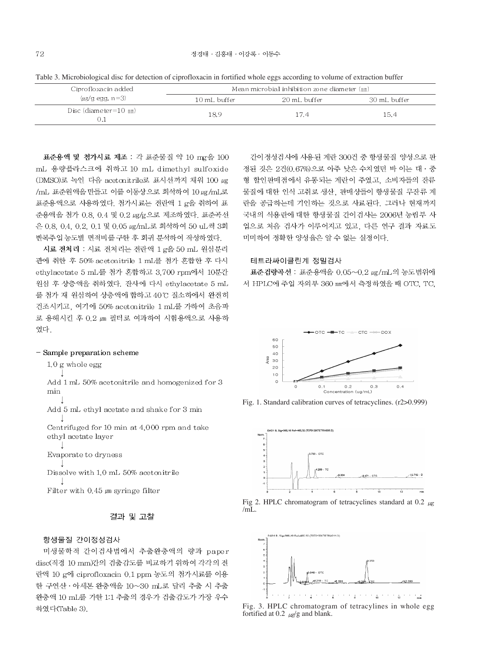Table 3. Microbiological disc for detection of ciprofloxacin in fortified whole eggs according to volume of extraction buffer

| Ciprofloxacin added           | Mean microbial inhibition zone diameter (mm) |              |              |  |
|-------------------------------|----------------------------------------------|--------------|--------------|--|
| $\mu$ g/g egg, n=3)           | 10 mL buffer                                 | 20 mL buffer | 30 mL buffer |  |
| Disc (diameter=10 mm)<br>D. I | 189                                          | 17.4         | 15.4         |  |

표준용액 및 첨가시료 제조 : 각 표준물질 약 10 mg을 100 mL 용량플라스크에 취하고 10 mL dimethyl sulfoxide (DMSO)로 녹인 다음 acetonitrile로 표시선까지 채워 100 μg /mL 표준원액을 만들고 이를 이동상으로 희석하여 10 µg/mL로 표준용액으로 사용하였다. 첨가시료는 전란액 1 g을 취하여 표 준용액을 첨가 0.8, 0.4 및 0.2 ug/g으로 제조하였다. 표준곡선 은 0.8, 0.4, 0.2, 0.1 및 0.05 ug/mL로 회석하여 50 uL씩 3회 반복주입 농도별 면적비를 구한 후 회귀 분석하여 작성하였다.

시료 전처리 : 시료 전처리는 전란액 1 g을 50 mL 원심분리 관에 취한 후 50% acetonitrile 1 mL를 첨가 혼합한 후 다시 ethylacetate 5 mL를 첨가 혼합하고 3,700 rpm에서 10분간 원심 후 상층액을 취하였다. 잔사에 다시 ethylacetate 5 mL 를 첨가 재 원심하여 상층액에 합하고 40℃ 질소하에서 완전히 건조시키고, 여기에 50% acetonitrile 1 mL를 가하여 초음파 로 용해시킨 후 0.2 ㎞ 필터로 여과하여 시험용액으로 사용하 였다.

#### - Sample preparation scheme

 $1.0$  g whole egg

Add 1 mL 50% acetonitrile and homogenized for 3 min

Add 5 mL ethyl acetate and shake for 3 min

Centrifuged for 10 min at 4,000 rpm and take ethyl acetate layer

Evaporate to dryness

Dissolve with 1.0 mL 50% acetonitrile

Filter with  $0.45 \mu m$  syringe filter

### 결과 및 고찰

## 항생물질 간이정성검사

미생물학적 간이검사법에서 추출완충액의 량과 paper disc(직경 10 mm)간의 검출감도를 비교하기 위하여 각각의 전 란액 10 g에 ciprofloxacin 0.1 ppm 농도의 첨가시료를 이용 한 구연산 · 아세톤 완충액을 10~30 mL로 달리 추출 시 추출 완충액 10 mL를 가한 1:1 추출의 경우가 검출감도가 가장 우수 하였다(Table 3).

간이정성검사에 사용된 계란 300건 중 항생물질 양성으로 판 정된 것은 2건(0.67%)으로 아주 낮은 수치였던 바 이는 대 · 중 형 할인판매점에서 유통되는 계란이 주였고, 소비자들의 잔류 물질에 대한 인식 고취로 생산, 판매상들이 항생물질 무잔류 계 란을 공급하는데 기인하는 것으로 사료된다. 그러나 현재까지 국내의 식용란에 대한 항생물질 간이검사는 2006년 농림부 사 업으로 처음 검사가 이루어지고 있고, 다른 연구 결과 자료도 미미하여 정확한 양성율은 알 수 없는 실정이다.

# 테트라싸이클린계 정밀검사

표준검량곡선: 표준용액을 0.05~0.2 µg/mL의 농도범위에 서 HPLC에 주입 자외부 360 nm에서 측정하였을 때 OTC, TC,



Fig. 1. Standard calibration curves of tetracyclines. (r2>0.999)







Fig. 3. HPLC chromatogram of tetracylines in whole egg fortified at 0.2  $\mu$ g/g and blank.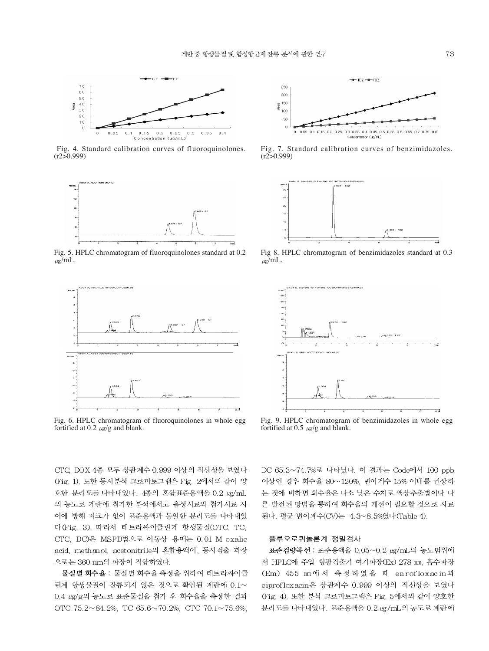

Fig. 4. Standard calibration curves of fluoroquinolones.  $(r250.999)$ 



Fig. 5. HPLC chromatogram of fluoroquinolones standard at 0.2  $\mu$ g/mL.



Fig. 6. HPLC chromatogram of fluoroquinolones in whole egg fortified at 0.2  $\mu$ g/g and blank.

 $-$ TBZ  $-\blacksquare$ -FBZ 250 200  $\frac{8}{5}$  150  $10<sup>c</sup>$ 50 r 0.05 0.1 0.15 0.2 0.25 0.3 0.35 0.4 0.45 0.5  $\alpha$ 0.6.0.65.0.7.0.75.0.8 o o.so o. . . o. .o<br>Concentration (ug/mL)

Fig. 7. Standard calibration curves of benzimidazoles.  $(r250.999)$ 



Fig 8. HPLC chromatogram of benzimidazoles standard at 0.3  $\mu$ g/mL.



Fig. 9. HPLC chromatogram of benzimidazoles in whole egg fortified at 0.5  $\mu$ g/g and blank.

CTC, DOX 4종 모두 상관계수 0.999 이상의 직선성을 보였다 (Fig. 1). 또한 동시분석 크로마토그램은 Fig. 2에서와 같이 양 호한 분리도를 나타내었다. 4종의 혼합표준용액을 0.2 ug/mL 의 농도로 계란에 첨가한 분석에서도 음성시료와 첨가시료 사 이에 방해 피크가 없이 표준용액과 동일한 분리도를 나타내었 다(Fig. 3). 따라서 테트라싸이클린계 항생물질(OTC, TC, CTC, DC)은 MSPD법으로 이동상 용매는 0.01 M oxalic acid, methanol, acetonitrile의 혼합용액이, 동시검출 파장 으로는 360 nm의 파장이 적합하였다.

물질별 회수율 : 물질별 회수율 측정을 위하여 테트라싸이클 린계 항생물질이 잔류되지 않은 것으로 확인된 계란에 0.1~ 0.4 µg/g의 농도로 표준물질을 첨가 후 회수율을 측정한 결과 OTC 75.2~84.2%, TC 65.6~70.2%, CTC 70.1~75.6%, DC 65.3~74.7%로 나타났다. 이 결과는 Code에서 100 ppb 이상인 경우 회수율 80~120%, 변이계수 15% 이내를 권장하 는 것에 비하면 회수율은 다소 낮은 수치로 액상추출법이나 다 른 발전된 방법을 통하여 회수율의 개선이 필요할 것으로 사료 된다. 평균 변이계수(CV)는 4.3~8.5%였다(Table 4).

#### 플루오로퀴놀론계 정밀검사

표준검량곡선: 표준용액을 0.05~0.2 µg/mL의 농도범위에 서 HPLC에 주입 형광검출기 여기파장(Ex) 278 nm, 흡수파장 (Em) 455 mm에서 측정하였을 때 enrofloxacin과 ciprofloxacin은 상관계수 0.999 이상의 직선성을 보였다 (Fig. 4). 또한 분석 크로마토그램은 Fig. 5에서와 같이 양호한 분리도를 나타내었다. 표준용액을 0.2 ug/mL의 농도로 계란에